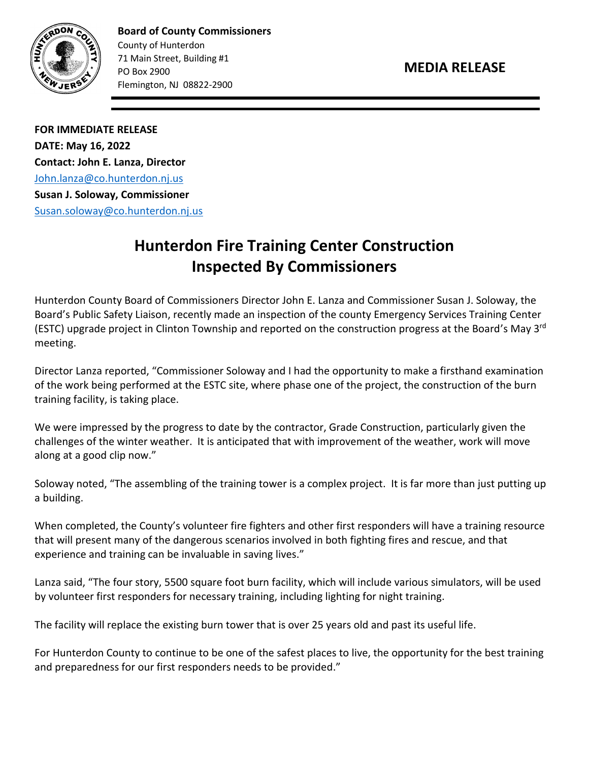

**Board of County Commissioners** County of Hunterdon 71 Main Street, Building #1 PO Box 2900 Flemington, NJ 08822-2900

**FOR IMMEDIATE RELEASE DATE: May 16, 2022 Contact: John E. Lanza, Director** [John.lanza@co.hunterdon.nj.us](mailto:John.lanza@co.hunterdon.nj.us) **Susan J. Soloway, Commissioner** [Susan.soloway@co.hunterdon.nj.us](mailto:Susan.soloway@co.hunterdon.nj.us)

## **Hunterdon Fire Training Center Construction Inspected By Commissioners**

Hunterdon County Board of Commissioners Director John E. Lanza and Commissioner Susan J. Soloway, the Board's Public Safety Liaison, recently made an inspection of the county Emergency Services Training Center (ESTC) upgrade project in Clinton Township and reported on the construction progress at the Board's May 3<sup>rd</sup> meeting.

Director Lanza reported, "Commissioner Soloway and I had the opportunity to make a firsthand examination of the work being performed at the ESTC site, where phase one of the project, the construction of the burn training facility, is taking place.

We were impressed by the progress to date by the contractor, Grade Construction, particularly given the challenges of the winter weather. It is anticipated that with improvement of the weather, work will move along at a good clip now."

Soloway noted, "The assembling of the training tower is a complex project. It is far more than just putting up a building.

When completed, the County's volunteer fire fighters and other first responders will have a training resource that will present many of the dangerous scenarios involved in both fighting fires and rescue, and that experience and training can be invaluable in saving lives."

Lanza said, "The four story, 5500 square foot burn facility, which will include various simulators, will be used by volunteer first responders for necessary training, including lighting for night training.

The facility will replace the existing burn tower that is over 25 years old and past its useful life.

For Hunterdon County to continue to be one of the safest places to live, the opportunity for the best training and preparedness for our first responders needs to be provided."